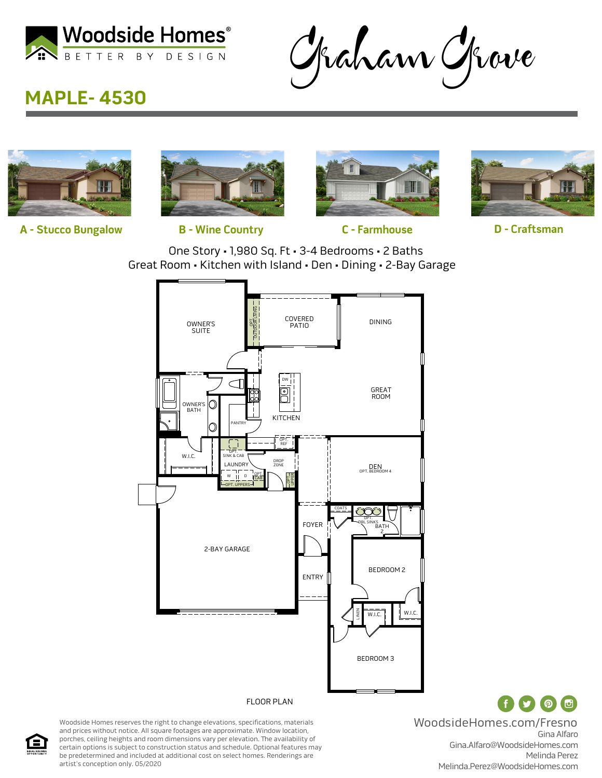

Graham Grove

## **MAPLE- 4530**



**A - Stucco Bungalow B - Wine Country C - Farmhouse D - Craftsman**







One Story • 1,980 Sq. Ft • 3-4 Bedrooms • 2 Baths Great Room • Kitchen with Island • Den • Dining • 2-Bay Garage



Woodside Homes reserves the right to change elevations, specifications, materials and prices without notice. All square footages are approximate. Window location, porches, ceiling heights and room dimensions vary per elevation. The availability of certain options is subject to construction status and schedule. Optional features may be predetermined and included at additional cost on select homes. Renderings are artist's conception only. 05/2020

Gina Alfaro Gina.Alfaro@WoodsideHomes.com Melinda Perez Melinda.Perez@WoodsideHomes.com WoodsideHomes.com/Fresno

Œ

( ၈)